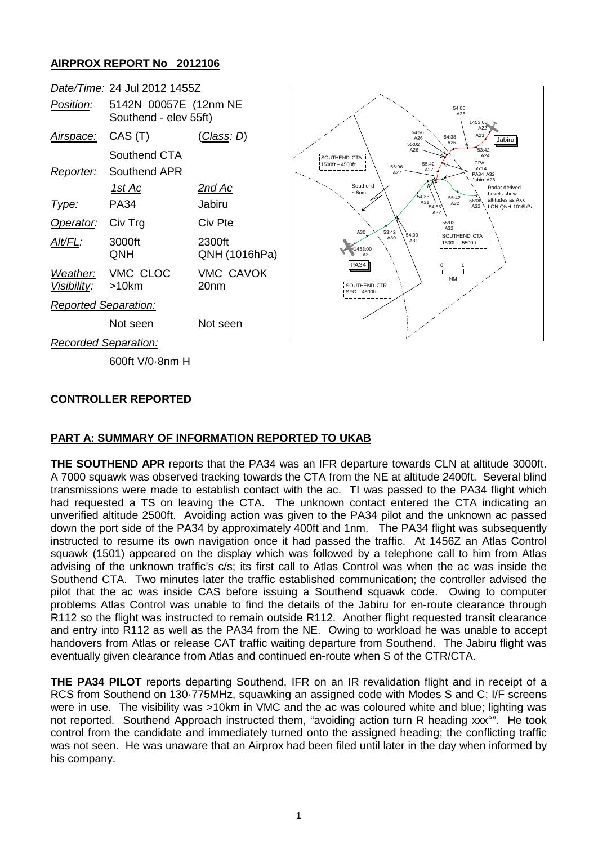# **AIRPROX REPORT No 2012106**



### **CONTROLLER REPORTED**

### **PART A: SUMMARY OF INFORMATION REPORTED TO UKAB**

**THE SOUTHEND APR** reports that the PA34 was an IFR departure towards CLN at altitude 3000ft. A 7000 squawk was observed tracking towards the CTA from the NE at altitude 2400ft. Several blind transmissions were made to establish contact with the ac. TI was passed to the PA34 flight which had requested a TS on leaving the CTA. The unknown contact entered the CTA indicating an unverified altitude 2500ft. Avoiding action was given to the PA34 pilot and the unknown ac passed down the port side of the PA34 by approximately 400ft and 1nm. The PA34 flight was subsequently instructed to resume its own navigation once it had passed the traffic. At 1456Z an Atlas Control squawk (1501) appeared on the display which was followed by a telephone call to him from Atlas advising of the unknown traffic's c/s; its first call to Atlas Control was when the ac was inside the Southend CTA. Two minutes later the traffic established communication; the controller advised the pilot that the ac was inside CAS before issuing a Southend squawk code. Owing to computer problems Atlas Control was unable to find the details of the Jabiru for en-route clearance through R112 so the flight was instructed to remain outside R112. Another flight requested transit clearance and entry into R112 as well as the PA34 from the NE. Owing to workload he was unable to accept handovers from Atlas or release CAT traffic waiting departure from Southend. The Jabiru flight was eventually given clearance from Atlas and continued en-route when S of the CTR/CTA.

**THE PA34 PILOT** reports departing Southend, IFR on an IR revalidation flight and in receipt of a RCS from Southend on 130·775MHz, squawking an assigned code with Modes S and C; I/F screens were in use. The visibility was >10km in VMC and the ac was coloured white and blue; lighting was not reported. Southend Approach instructed them, "avoiding action turn R heading xxx°". He took control from the candidate and immediately turned onto the assigned heading; the conflicting traffic was not seen. He was unaware that an Airprox had been filed until later in the day when informed by his company.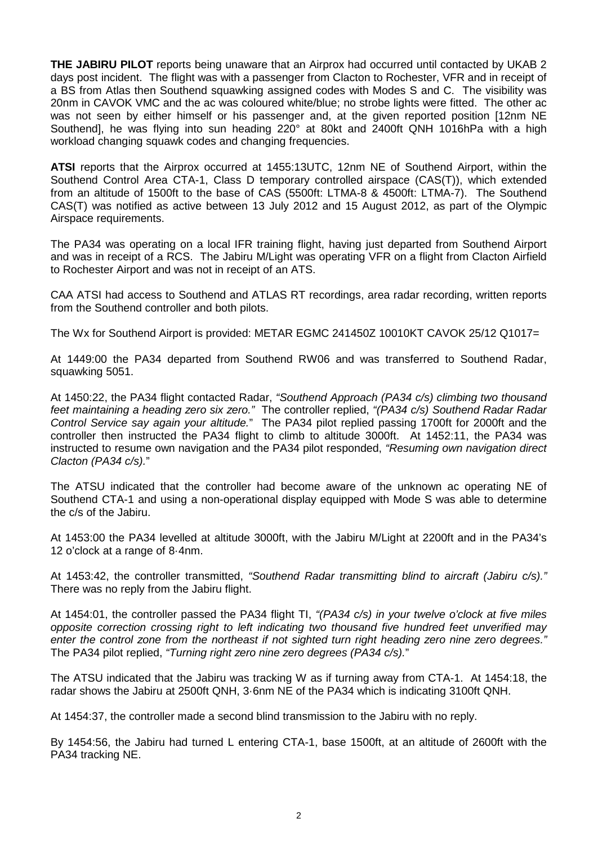**THE JABIRU PILOT** reports being unaware that an Airprox had occurred until contacted by UKAB 2 days post incident. The flight was with a passenger from Clacton to Rochester, VFR and in receipt of a BS from Atlas then Southend squawking assigned codes with Modes S and C. The visibility was 20nm in CAVOK VMC and the ac was coloured white/blue; no strobe lights were fitted. The other ac was not seen by either himself or his passenger and, at the given reported position [12nm NE Southend], he was flying into sun heading 220° at 80kt and 2400ft QNH 1016hPa with a high workload changing squawk codes and changing frequencies.

**ATSI** reports that the Airprox occurred at 1455:13UTC, 12nm NE of Southend Airport, within the Southend Control Area CTA-1, Class D temporary controlled airspace (CAS(T)), which extended from an altitude of 1500ft to the base of CAS (5500ft: LTMA-8 & 4500ft: LTMA-7). The Southend CAS(T) was notified as active between 13 July 2012 and 15 August 2012, as part of the Olympic Airspace requirements.

The PA34 was operating on a local IFR training flight, having just departed from Southend Airport and was in receipt of a RCS. The Jabiru M/Light was operating VFR on a flight from Clacton Airfield to Rochester Airport and was not in receipt of an ATS.

CAA ATSI had access to Southend and ATLAS RT recordings, area radar recording, written reports from the Southend controller and both pilots.

The Wx for Southend Airport is provided: METAR EGMC 241450Z 10010KT CAVOK 25/12 Q1017=

At 1449:00 the PA34 departed from Southend RW06 and was transferred to Southend Radar, squawking 5051.

At 1450:22, the PA34 flight contacted Radar, *"Southend Approach (PA34 c/s) climbing two thousand feet maintaining a heading zero six zero."* The controller replied, *"(PA34 c/s) Southend Radar Radar Control Service say again your altitude.*" The PA34 pilot replied passing 1700ft for 2000ft and the controller then instructed the PA34 flight to climb to altitude 3000ft. At 1452:11, the PA34 was instructed to resume own navigation and the PA34 pilot responded, *"Resuming own navigation direct Clacton (PA34 c/s).*"

The ATSU indicated that the controller had become aware of the unknown ac operating NE of Southend CTA-1 and using a non-operational display equipped with Mode S was able to determine the c/s of the Jabiru.

At 1453:00 the PA34 levelled at altitude 3000ft, with the Jabiru M/Light at 2200ft and in the PA34's 12 o'clock at a range of 8·4nm.

At 1453:42, the controller transmitted, *"Southend Radar transmitting blind to aircraft (Jabiru c/s)."* There was no reply from the Jabiru flight.

At 1454:01, the controller passed the PA34 flight TI, *"(PA34 c/s) in your twelve o'clock at five miles opposite correction crossing right to left indicating two thousand five hundred feet unverified may enter the control zone from the northeast if not sighted turn right heading zero nine zero degrees."* The PA34 pilot replied, *"Turning right zero nine zero degrees (PA34 c/s).*"

The ATSU indicated that the Jabiru was tracking W as if turning away from CTA-1. At 1454:18, the radar shows the Jabiru at 2500ft QNH, 3·6nm NE of the PA34 which is indicating 3100ft QNH.

At 1454:37, the controller made a second blind transmission to the Jabiru with no reply.

By 1454:56, the Jabiru had turned L entering CTA-1, base 1500ft, at an altitude of 2600ft with the PA34 tracking NE.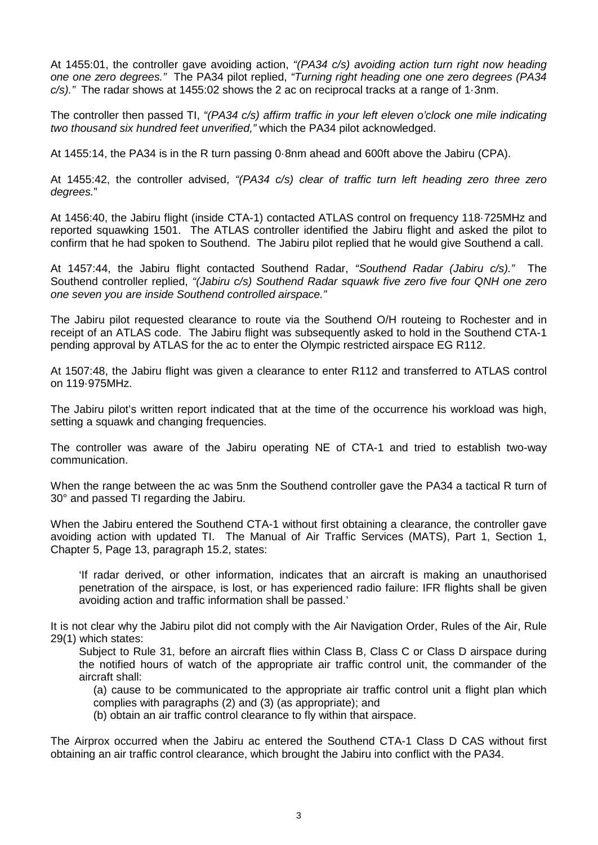At 1455:01, the controller gave avoiding action, *"(PA34 c/s) avoiding action turn right now heading one one zero degrees."* The PA34 pilot replied, *"Turning right heading one one zero degrees (PA34 c/s)."* The radar shows at 1455:02 shows the 2 ac on reciprocal tracks at a range of 1·3nm.

The controller then passed TI, *"(PA34 c/s) affirm traffic in your left eleven o'clock one mile indicating two thousand six hundred feet unverified,"* which the PA34 pilot acknowledged.

At 1455:14, the PA34 is in the R turn passing 0·8nm ahead and 600ft above the Jabiru (CPA).

At 1455:42, the controller advised, *"(PA34 c/s) clear of traffic turn left heading zero three zero degrees.*"

At 1456:40, the Jabiru flight (inside CTA-1) contacted ATLAS control on frequency 118·725MHz and reported squawking 1501. The ATLAS controller identified the Jabiru flight and asked the pilot to confirm that he had spoken to Southend. The Jabiru pilot replied that he would give Southend a call.

At 1457:44, the Jabiru flight contacted Southend Radar, *"Southend Radar (Jabiru c/s)."* The Southend controller replied, *"(Jabiru c/s) Southend Radar squawk five zero five four QNH one zero one seven you are inside Southend controlled airspace."*

The Jabiru pilot requested clearance to route via the Southend O/H routeing to Rochester and in receipt of an ATLAS code. The Jabiru flight was subsequently asked to hold in the Southend CTA-1 pending approval by ATLAS for the ac to enter the Olympic restricted airspace EG R112.

At 1507:48, the Jabiru flight was given a clearance to enter R112 and transferred to ATLAS control on 119·975MHz.

The Jabiru pilot's written report indicated that at the time of the occurrence his workload was high, setting a squawk and changing frequencies.

The controller was aware of the Jabiru operating NE of CTA-1 and tried to establish two-way communication.

When the range between the ac was 5nm the Southend controller gave the PA34 a tactical R turn of 30° and passed TI regarding the Jabiru.

When the Jabiru entered the Southend CTA-1 without first obtaining a clearance, the controller gave avoiding action with updated TI. The Manual of Air Traffic Services (MATS), Part 1, Section 1, Chapter 5, Page 13, paragraph 15.2, states:

'If radar derived, or other information, indicates that an aircraft is making an unauthorised penetration of the airspace, is lost, or has experienced radio failure: IFR flights shall be given avoiding action and traffic information shall be passed.'

It is not clear why the Jabiru pilot did not comply with the Air Navigation Order, Rules of the Air, Rule 29(1) which states:

Subject to Rule 31, before an aircraft flies within Class B, Class C or Class D airspace during the notified hours of watch of the appropriate air traffic control unit, the commander of the aircraft shall:

(a) cause to be communicated to the appropriate air traffic control unit a flight plan which complies with paragraphs (2) and (3) (as appropriate); and

(b) obtain an air traffic control clearance to fly within that airspace.

The Airprox occurred when the Jabiru ac entered the Southend CTA-1 Class D CAS without first obtaining an air traffic control clearance, which brought the Jabiru into conflict with the PA34.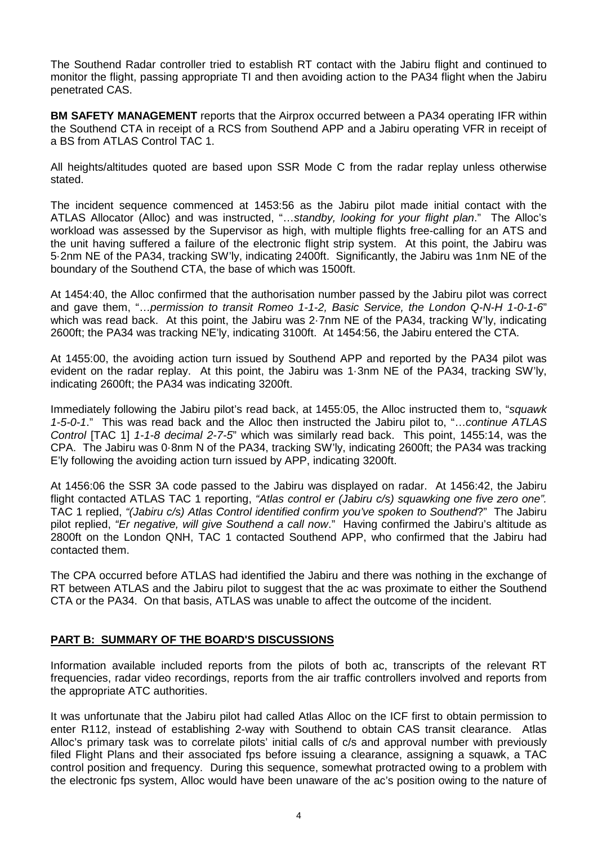The Southend Radar controller tried to establish RT contact with the Jabiru flight and continued to monitor the flight, passing appropriate TI and then avoiding action to the PA34 flight when the Jabiru penetrated CAS.

**BM SAFETY MANAGEMENT** reports that the Airprox occurred between a PA34 operating IFR within the Southend CTA in receipt of a RCS from Southend APP and a Jabiru operating VFR in receipt of a BS from ATLAS Control TAC 1.

All heights/altitudes quoted are based upon SSR Mode C from the radar replay unless otherwise stated.

The incident sequence commenced at 1453:56 as the Jabiru pilot made initial contact with the ATLAS Allocator (Alloc) and was instructed, "…*standby, looking for your flight plan*." The Alloc's workload was assessed by the Supervisor as high, with multiple flights free-calling for an ATS and the unit having suffered a failure of the electronic flight strip system. At this point, the Jabiru was 5·2nm NE of the PA34, tracking SW'ly, indicating 2400ft. Significantly, the Jabiru was 1nm NE of the boundary of the Southend CTA, the base of which was 1500ft.

At 1454:40, the Alloc confirmed that the authorisation number passed by the Jabiru pilot was correct and gave them, "…*permission to transit Romeo 1-1-2, Basic Service, the London Q-N-H 1-0-1-6*" which was read back. At this point, the Jabiru was 2.7nm NE of the PA34, tracking W'ly, indicating 2600ft; the PA34 was tracking NE'ly, indicating 3100ft. At 1454:56, the Jabiru entered the CTA.

At 1455:00, the avoiding action turn issued by Southend APP and reported by the PA34 pilot was evident on the radar replay. At this point, the Jabiru was 1·3nm NE of the PA34, tracking SW'ly, indicating 2600ft; the PA34 was indicating 3200ft.

Immediately following the Jabiru pilot's read back, at 1455:05, the Alloc instructed them to, "*squawk 1-5-0-1*." This was read back and the Alloc then instructed the Jabiru pilot to, "…*continue ATLAS Control* [TAC 1] *1-1-8 decimal 2-7-5*" which was similarly read back. This point, 1455:14, was the CPA. The Jabiru was 0·8nm N of the PA34, tracking SW'ly, indicating 2600ft; the PA34 was tracking E'ly following the avoiding action turn issued by APP, indicating 3200ft.

At 1456:06 the SSR 3A code passed to the Jabiru was displayed on radar. At 1456:42, the Jabiru flight contacted ATLAS TAC 1 reporting, *"Atlas control er (Jabiru c/s) squawking one five zero one".*  TAC 1 replied, *"(Jabiru c/s) Atlas Control identified confirm you've spoken to Southend*?" The Jabiru pilot replied, *"Er negative, will give Southend a call now*." Having confirmed the Jabiru's altitude as 2800ft on the London QNH, TAC 1 contacted Southend APP, who confirmed that the Jabiru had contacted them.

The CPA occurred before ATLAS had identified the Jabiru and there was nothing in the exchange of RT between ATLAS and the Jabiru pilot to suggest that the ac was proximate to either the Southend CTA or the PA34. On that basis, ATLAS was unable to affect the outcome of the incident.

### **PART B: SUMMARY OF THE BOARD'S DISCUSSIONS**

Information available included reports from the pilots of both ac, transcripts of the relevant RT frequencies, radar video recordings, reports from the air traffic controllers involved and reports from the appropriate ATC authorities.

It was unfortunate that the Jabiru pilot had called Atlas Alloc on the ICF first to obtain permission to enter R112, instead of establishing 2-way with Southend to obtain CAS transit clearance. Atlas Alloc's primary task was to correlate pilots' initial calls of c/s and approval number with previously filed Flight Plans and their associated fps before issuing a clearance, assigning a squawk, a TAC control position and frequency. During this sequence, somewhat protracted owing to a problem with the electronic fps system, Alloc would have been unaware of the ac's position owing to the nature of